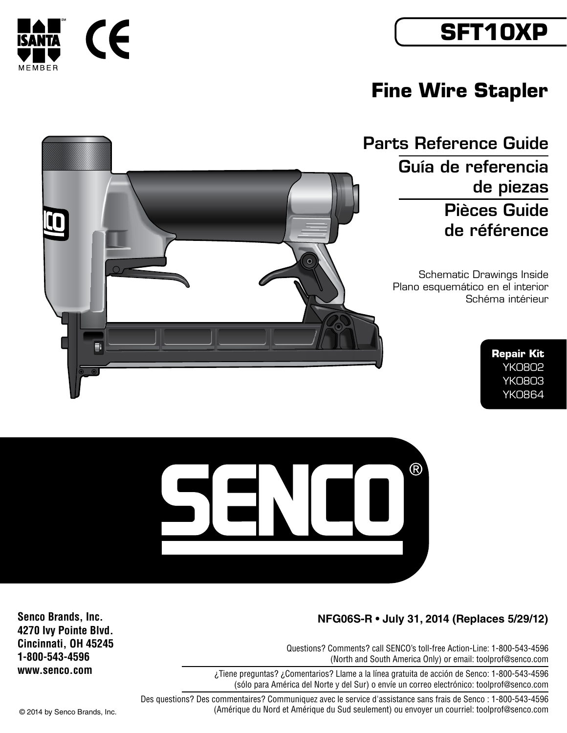## **SFT10XP**

## **Fine Wire Stapler**

Parts Reference Guide

Guía de referencia de piezas Pièces Guide de référence

Schematic Drawings Inside Plano esquemático en el interior Schéma intérieur

> **Repair Kit** YK0802 YK0803 YK0864



Questions? Comments? call SENCO's toll-free Action-Line: 1-800-543-4596 (North and South America Only) or email: toolprof@senco.com

¿Tiene preguntas? ¿Comentarios? Llame a la línea gratuita de acción de Senco: 1-800-543-4596 (sólo para América del Norte y del Sur) o envíe un correo electrónico: toolprof@senco.com

Des questions? Des commentaires? Communiquez avec le service d'assistance sans frais de Senco : 1-800-543-4596 © 2014 by Senco Brands, Inc. (Amérique du Nord et Amérique du Sud seulement) ou envoyer un courriel: toolprof@senco.com

**Senco Brands, Inc. 4270 Ivy Pointe Blvd. Cincinnati, OH 45245 1-800-543-4596 www.senco.com**



٦



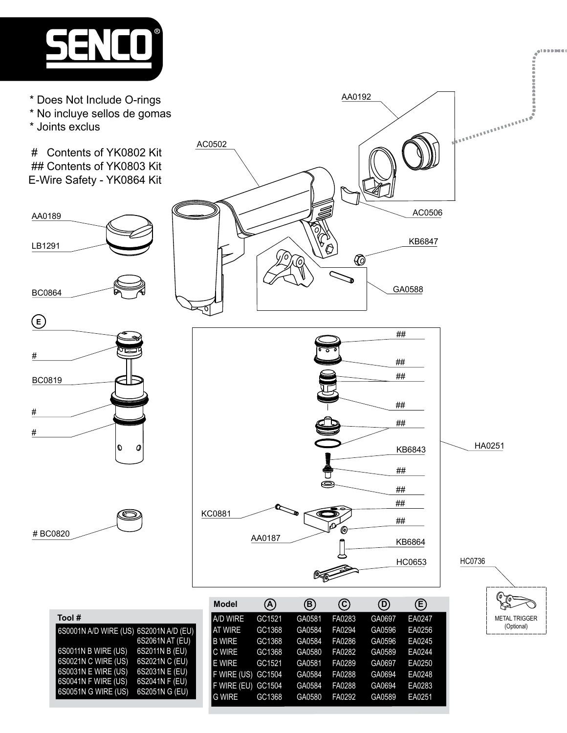

- \* Does Not Include O-rings
- \* No incluye sellos de gomas
- \* Joints exclus

 # Contents of YK0802 Kit ## Contents of YK0803 Kit E-Wire Safety - YK0864 Kit





**Tool #**



AA0192

## ## KC0881 ## AA0187 KB6864 HC0653  $\otimes$ 

|                                        | <b>Model</b>       | (A)    | (B)    | ල)     | (D)    | Ê)     |  |
|----------------------------------------|--------------------|--------|--------|--------|--------|--------|--|
| Tool#                                  | <b>A/D WIRE</b>    | GC1521 | GA0581 | FA0283 | GA0697 | EA0247 |  |
| 6S0001N A/D WIRE (US) 6S2001N A/D (EU) | <b>AT WIRE</b>     | GC1368 | GA0584 | FA0294 | GA0596 | EA0256 |  |
| 6S2061N AT (EU)                        | <b>B WIRE</b>      | GC1368 | GA0584 | FA0286 | GA0596 | EA0245 |  |
| 6S0011N B WIRE (US)<br>6S2011N B (EU)  | <b>IC WIRE</b>     | GC1368 | GA0580 | FA0282 | GA0589 | EA0244 |  |
| 6S0021N C WIRE (US)<br>6S2021N C (EU)  | <b>E</b> WIRE      | GC1521 | GA0581 | FA0289 | GA0697 | EA0250 |  |
| 6S0031N E WIRE (US)<br>6S2031N E (EU)  | F WIRE (US) GC1504 |        | GA0584 | FA0288 | GA0694 | EA0248 |  |
| 6S0041N F WIRE (US)<br>6S2041N F (EU)  | F WIRE (EU)        | GC1504 | GA0584 | FA0288 | GA0694 | EA0283 |  |
| 6S0051N G WIRE (US)<br>6S2051N G (EU)  | <b>G WIRE</b>      | GC1368 | GA0580 | FA0292 | GA0589 | EA0251 |  |
|                                        |                    |        |        |        |        |        |  |



 $\begin{bmatrix}\n\mathbf{v}^T & \mathbf{v}^T & \mathbf{v}^T & \mathbf{v}^T & \mathbf{v}^T & \mathbf{v}^T & \mathbf{v}^T & \mathbf{v}^T & \mathbf{v}^T & \mathbf{v}^T & \mathbf{v}^T & \mathbf{v}^T & \mathbf{v}^T & \mathbf{v}^T & \mathbf{v}^T & \mathbf{v}^T & \mathbf{v}^T & \mathbf{v}^T & \mathbf{v}^T & \mathbf{v}^T & \mathbf{v}^T & \mathbf{v}^T & \mathbf{v}^T & \mathbf{v}$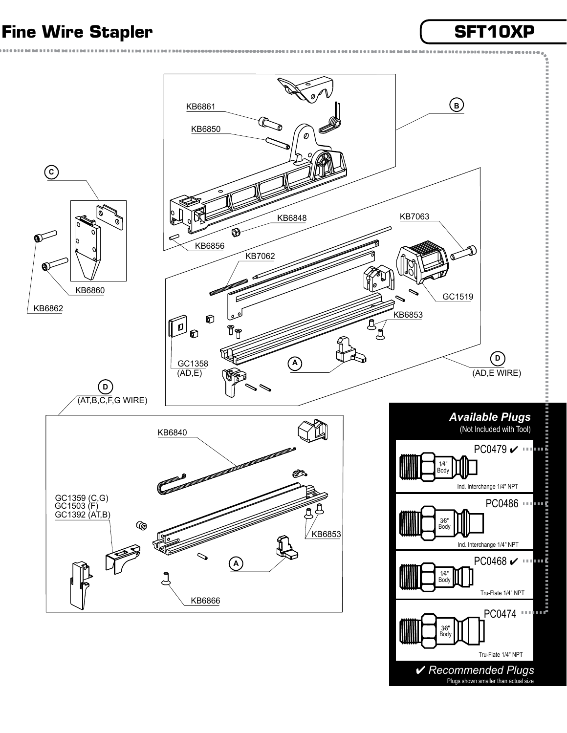## Fine Wire Stapler **SET10XP**